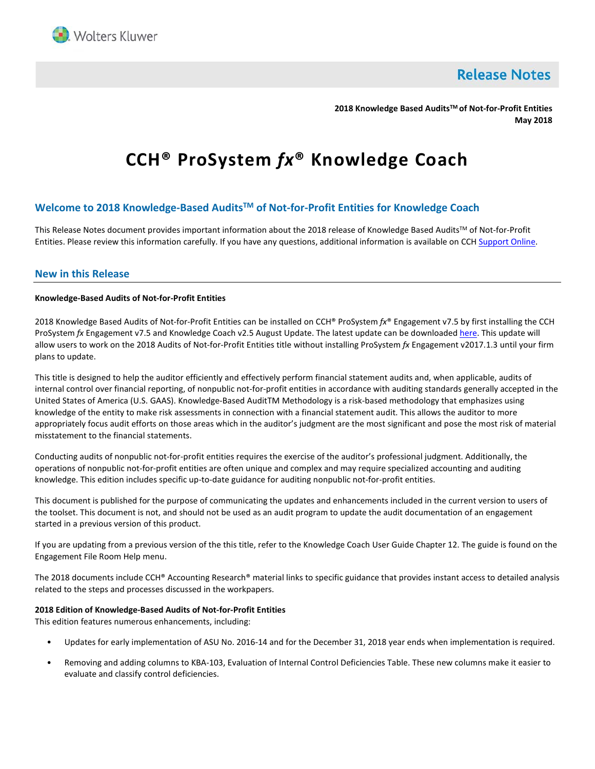

**Release Notes** 

**2018 Knowledge Based AuditsTM of Not-for-Profit Entities May 2018**

# **CCH® ProSystem** *fx***® Knowledge Coach**

# **Welcome to 2018 Knowledge-Based AuditsTM of Not-for-Profit Entities for Knowledge Coach**

This Release Notes document provides important information about the 2018 release of Knowledge Based Audits™ of Not-for-Profit Entities. Please review this information carefully. If you have any questions, additional information is available on CCH [Support Online.](http://support.cch.com/productsupport/)

# **New in this Release**

## **Knowledge-Based Audits of Not-for-Profit Entities**

2018 Knowledge Based Audits of Not-for-Profit Entities can be installed on CCH® ProSystem *fx*® Engagement v7.5 by first installing the CCH ProSystem *fx* Engagement v7.5 and Knowledge Coach v2.5 August Update. The latest update can be downloade[d here.](https://support.cch.com/updates/Engagement/patch75/patch75.aspx) This update will allow users to work on the 2018 Audits of Not-for-Profit Entities title without installing ProSystem *fx* Engagement v2017.1.3 until your firm plans to update.

This title is designed to help the auditor efficiently and effectively perform financial statement audits and, when applicable, audits of internal control over financial reporting, of nonpublic not-for-profit entities in accordance with auditing standards generally accepted in the United States of America (U.S. GAAS). Knowledge-Based AuditTM Methodology is a risk-based methodology that emphasizes using knowledge of the entity to make risk assessments in connection with a financial statement audit. This allows the auditor to more appropriately focus audit efforts on those areas which in the auditor's judgment are the most significant and pose the most risk of material misstatement to the financial statements.

Conducting audits of nonpublic not-for-profit entities requires the exercise of the auditor's professional judgment. Additionally, the operations of nonpublic not-for-profit entities are often unique and complex and may require specialized accounting and auditing knowledge. This edition includes specific up-to-date guidance for auditing nonpublic not-for-profit entities.

This document is published for the purpose of communicating the updates and enhancements included in the current version to users of the toolset. This document is not, and should not be used as an audit program to update the audit documentation of an engagement started in a previous version of this product.

If you are updating from a previous version of the this title, refer to the Knowledge Coach User Guide Chapter 12. The guide is found on the Engagement File Room Help menu.

The 2018 documents include CCH® Accounting Research® material links to specific guidance that provides instant access to detailed analysis related to the steps and processes discussed in the workpapers.

# **2018 Edition of Knowledge-Based Audits of Not-for-Profit Entities**

This edition features numerous enhancements, including:

- Updates for early implementation of ASU No. 2016-14 and for the December 31, 2018 year ends when implementation is required.
- Removing and adding columns to KBA-103, Evaluation of Internal Control Deficiencies Table. These new columns make it easier to evaluate and classify control deficiencies.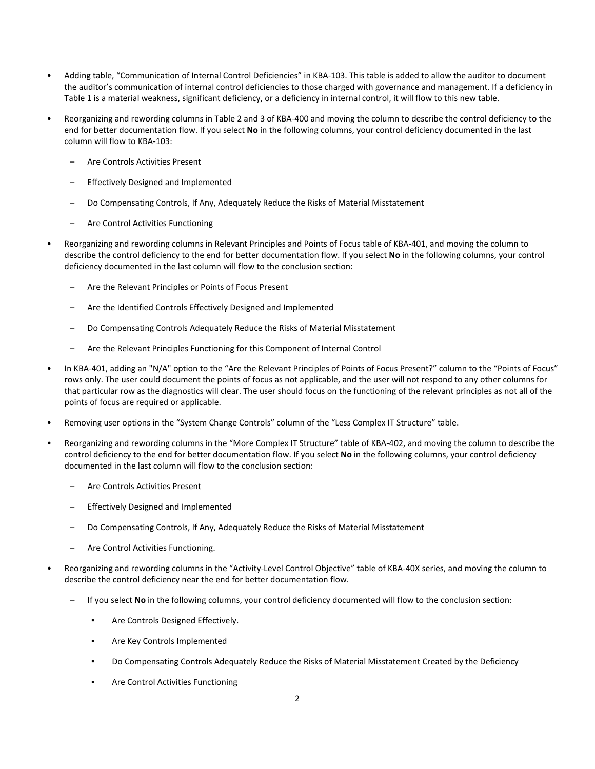- Adding table, "Communication of Internal Control Deficiencies" in KBA-103. This table is added to allow the auditor to document the auditor's communication of internal control deficiencies to those charged with governance and management. If a deficiency in Table 1 is a material weakness, significant deficiency, or a deficiency in internal control, it will flow to this new table.
- Reorganizing and rewording columns in Table 2 and 3 of KBA-400 and moving the column to describe the control deficiency to the end for better documentation flow. If you select **No** in the following columns, your control deficiency documented in the last column will flow to KBA-103:
	- Are Controls Activities Present
	- Effectively Designed and Implemented
	- Do Compensating Controls, If Any, Adequately Reduce the Risks of Material Misstatement
	- Are Control Activities Functioning
- Reorganizing and rewording columns in Relevant Principles and Points of Focus table of KBA-401, and moving the column to describe the control deficiency to the end for better documentation flow. If you select **No** in the following columns, your control deficiency documented in the last column will flow to the conclusion section:
	- Are the Relevant Principles or Points of Focus Present
	- Are the Identified Controls Effectively Designed and Implemented
	- Do Compensating Controls Adequately Reduce the Risks of Material Misstatement
	- Are the Relevant Principles Functioning for this Component of Internal Control
- In KBA-401, adding an "N/A" option to the "Are the Relevant Principles of Points of Focus Present?" column to the "Points of Focus" rows only. The user could document the points of focus as not applicable, and the user will not respond to any other columns for that particular row as the diagnostics will clear. The user should focus on the functioning of the relevant principles as not all of the points of focus are required or applicable.
- Removing user options in the "System Change Controls" column of the "Less Complex IT Structure" table.
- Reorganizing and rewording columns in the "More Complex IT Structure" table of KBA-402, and moving the column to describe the control deficiency to the end for better documentation flow. If you select **No** in the following columns, your control deficiency documented in the last column will flow to the conclusion section:
	- Are Controls Activities Present
	- Effectively Designed and Implemented
	- Do Compensating Controls, If Any, Adequately Reduce the Risks of Material Misstatement
	- Are Control Activities Functioning.
- Reorganizing and rewording columns in the "Activity-Level Control Objective" table of KBA-40X series, and moving the column to describe the control deficiency near the end for better documentation flow.
	- If you select **No** in the following columns, your control deficiency documented will flow to the conclusion section:
		- Are Controls Designed Effectively.
		- Are Key Controls Implemented
		- Do Compensating Controls Adequately Reduce the Risks of Material Misstatement Created by the Deficiency
		- Are Control Activities Functioning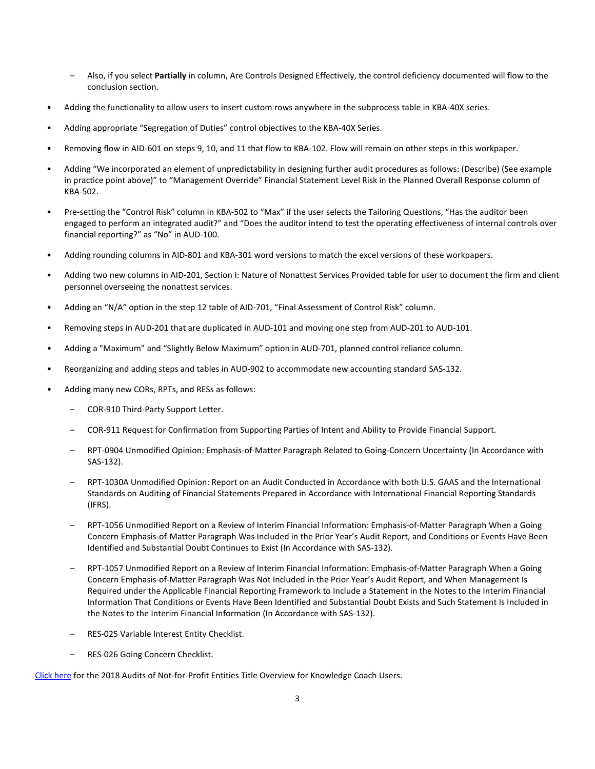- Also, if you select **Partially** in column, Are Controls Designed Effectively, the control deficiency documented will flow to the conclusion section.
- Adding the functionality to allow users to insert custom rows anywhere in the subprocess table in KBA-40X series.
- Adding appropriate "Segregation of Duties" control objectives to the KBA-40X Series.
- Removing flow in AID-601 on steps 9, 10, and 11 that flow to KBA-102. Flow will remain on other steps in this workpaper.
- Adding "We incorporated an element of unpredictability in designing further audit procedures as follows: (Describe) (See example in practice point above)" to "Management Override" Financial Statement Level Risk in the Planned Overall Response column of KBA-502.
- Pre-setting the "Control Risk" column in KBA-502 to "Max" if the user selects the Tailoring Questions, "Has the auditor been engaged to perform an integrated audit?" and "Does the auditor intend to test the operating effectiveness of internal controls over financial reporting?" as "No" in AUD-100.
- Adding rounding columns in AID-801 and KBA-301 word versions to match the excel versions of these workpapers.
- Adding two new columns in AID-201, Section I: Nature of Nonattest Services Provided table for user to document the firm and client personnel overseeing the nonattest services.
- Adding an "N/A" option in the step 12 table of AID-701, "Final Assessment of Control Risk" column.
- Removing steps in AUD-201 that are duplicated in AUD-101 and moving one step from AUD-201 to AUD-101.
- Adding a "Maximum" and "Slightly Below Maximum" option in AUD-701, planned control reliance column.
- Reorganizing and adding steps and tables in AUD-902 to accommodate new accounting standard SAS-132.
- Adding many new CORs, RPTs, and RESs as follows:
	- COR-910 Third-Party Support Letter.
	- COR-911 Request for Confirmation from Supporting Parties of Intent and Ability to Provide Financial Support.
	- RPT-0904 Unmodified Opinion: Emphasis-of-Matter Paragraph Related to Going-Concern Uncertainty (In Accordance with SAS-132).
	- RPT-1030A Unmodified Opinion: Report on an Audit Conducted in Accordance with both U.S. GAAS and the International Standards on Auditing of Financial Statements Prepared in Accordance with International Financial Reporting Standards (IFRS).
	- RPT-1056 Unmodified Report on a Review of Interim Financial Information: Emphasis-of-Matter Paragraph When a Going Concern Emphasis-of-Matter Paragraph Was Included in the Prior Year's Audit Report, and Conditions or Events Have Been Identified and Substantial Doubt Continues to Exist (In Accordance with SAS-132).
	- RPT-1057 Unmodified Report on a Review of Interim Financial Information: Emphasis-of-Matter Paragraph When a Going Concern Emphasis-of-Matter Paragraph Was Not Included in the Prior Year's Audit Report, and When Management Is Required under the Applicable Financial Reporting Framework to Include a Statement in the Notes to the Interim Financial Information That Conditions or Events Have Been Identified and Substantial Doubt Exists and Such Statement Is Included in the Notes to the Interim Financial Information (In Accordance with SAS-132).
	- RES-025 Variable Interest Entity Checklist.
	- RES-026 Going Concern Checklist.

[Click here](http://support.cch.com/updates/KnowledgeCoach/pdf/guides_tab/2018%20NFP%20Audits%20Title%20Overview%20for%20Knowledge%20Coach%20Users.pdf) for the 2018 Audits of Not-for-Profit Entities Title Overview for Knowledge Coach Users.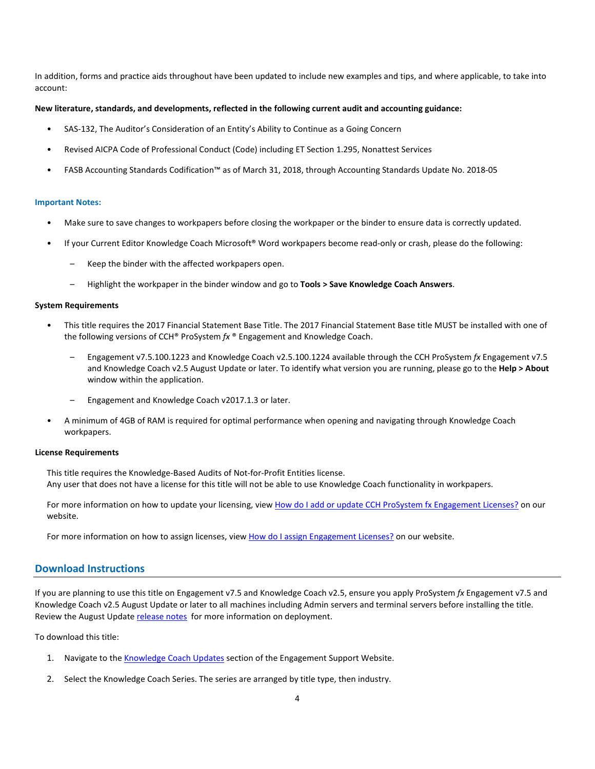In addition, forms and practice aids throughout have been updated to include new examples and tips, and where applicable, to take into account:

### **New literature, standards, and developments, reflected in the following current audit and accounting guidance:**

- SAS-132, The Auditor's Consideration of an Entity's Ability to Continue as a Going Concern
- Revised AICPA Code of Professional Conduct (Code) including ET Section 1.295, Nonattest Services
- FASB Accounting Standards Codification™ as of March 31, 2018, through Accounting Standards Update No. 2018-05

#### **Important Notes:**

- Make sure to save changes to workpapers before closing the workpaper or the binder to ensure data is correctly updated.
- If your Current Editor Knowledge Coach Microsoft® Word workpapers become read-only or crash, please do the following:
	- Keep the binder with the affected workpapers open.
	- Highlight the workpaper in the binder window and go to **Tools > Save Knowledge Coach Answers**.

#### **System Requirements**

- This title requires the 2017 Financial Statement Base Title. The 2017 Financial Statement Base title MUST be installed with one of the following versions of CCH® ProSystem *fx* ® Engagement and Knowledge Coach.
	- Engagement v7.5.100.1223 and Knowledge Coach v2.5.100.1224 available through the CCH ProSystem *fx* Engagement v7.5 and Knowledge Coach v2.5 August Update or later. To identify what version you are running, please go to the **Help > About** window within the application.
	- Engagement and Knowledge Coach v2017.1.3 or later.
- A minimum of 4GB of RAM is required for optimal performance when opening and navigating through Knowledge Coach workpapers.

#### **License Requirements**

This title requires the Knowledge-Based Audits of Not-for-Profit Entities license. Any user that does not have a license for this title will not be able to use Knowledge Coach functionality in workpapers.

For more information on how to update your licensing, view [How do I add or update CCH ProSystem fx Engagement](https://support.cch.com/kb/solution.aspx/sw3937) Licenses? on our website.

For more information on how to assign licenses, view [How do I assign Engagement Licenses?](https://support.cch.com/kb/solution.aspx/sw3943) on our website.

## **Download Instructions**

If you are planning to use this title on Engagement v7.5 and Knowledge Coach v2.5, ensure you apply ProSystem *fx* Engagement v7.5 and Knowledge Coach v2.5 August Update or later to all machines including Admin servers and terminal servers before installing the title. Review the August Updat[e release notes](https://support.cch.com/updates/Engagement/patch75/Engagement%20and%20KC%20July%202017%20Update%20Release%20Notes.pdf) for more information on deployment.

To download this title:

- 1. Navigate to the [Knowledge Coach Updates](http://support.cch.com/updates/KnowledgeCoach) section of the Engagement Support Website.
- 2. Select the Knowledge Coach Series. The series are arranged by title type, then industry.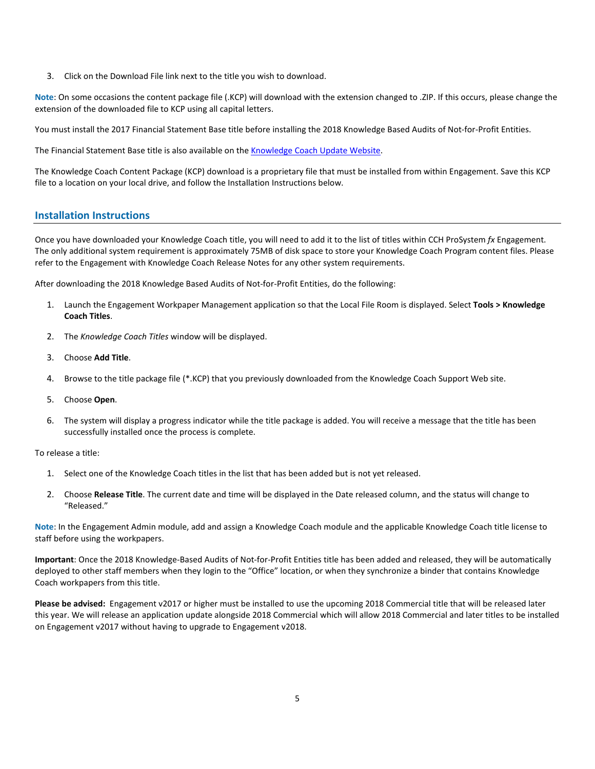3. Click on the Download File link next to the title you wish to download.

**Note**: On some occasions the content package file (.KCP) will download with the extension changed to .ZIP. If this occurs, please change the extension of the downloaded file to KCP using all capital letters.

You must install the 2017 Financial Statement Base title before installing the 2018 Knowledge Based Audits of Not-for-Profit Entities.

The Financial Statement Base title is also available on the **Knowledge Coach Update Website**.

The Knowledge Coach Content Package (KCP) download is a proprietary file that must be installed from within Engagement. Save this KCP file to a location on your local drive, and follow the Installation Instructions below.

# **Installation Instructions**

Once you have downloaded your Knowledge Coach title, you will need to add it to the list of titles within CCH ProSystem *fx* Engagement. The only additional system requirement is approximately 75MB of disk space to store your Knowledge Coach Program content files. Please refer to the Engagement with Knowledge Coach Release Notes for any other system requirements.

After downloading the 2018 Knowledge Based Audits of Not-for-Profit Entities, do the following:

- 1. Launch the Engagement Workpaper Management application so that the Local File Room is displayed. Select **Tools > Knowledge Coach Titles**.
- 2. The *Knowledge Coach Titles* window will be displayed.
- 3. Choose **Add Title**.
- 4. Browse to the title package file (\*.KCP) that you previously downloaded from the Knowledge Coach Support Web site.
- 5. Choose **Open**.
- 6. The system will display a progress indicator while the title package is added. You will receive a message that the title has been successfully installed once the process is complete.

To release a title:

- 1. Select one of the Knowledge Coach titles in the list that has been added but is not yet released.
- 2. Choose **Release Title**. The current date and time will be displayed in the Date released column, and the status will change to "Released."

**Note**: In the Engagement Admin module, add and assign a Knowledge Coach module and the applicable Knowledge Coach title license to staff before using the workpapers.

**Important**: Once the 2018 Knowledge-Based Audits of Not-for-Profit Entities title has been added and released, they will be automatically deployed to other staff members when they login to the "Office" location, or when they synchronize a binder that contains Knowledge Coach workpapers from this title.

**Please be advised:** Engagement v2017 or higher must be installed to use the upcoming 2018 Commercial title that will be released later this year. We will release an application update alongside 2018 Commercial which will allow 2018 Commercial and later titles to be installed on Engagement v2017 without having to upgrade to Engagement v2018.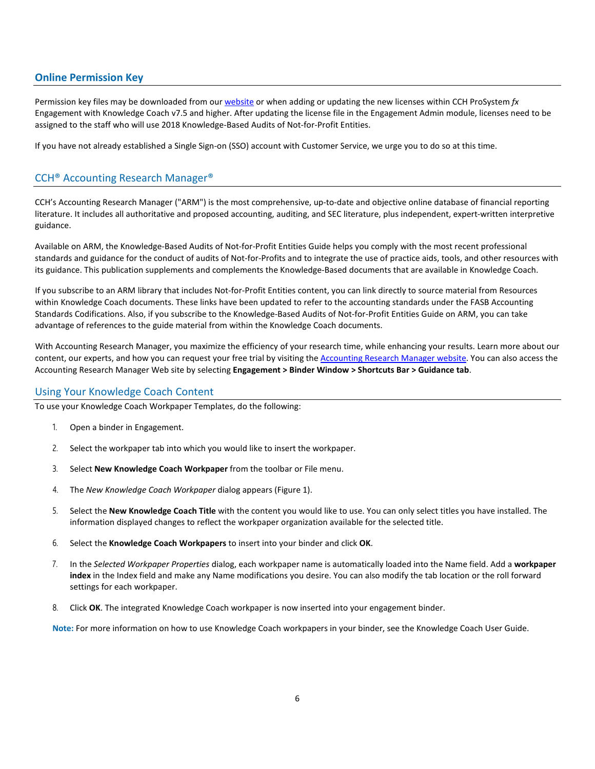# **Online Permission Key**

Permission key files may be downloaded from ou[r website](https://prosystemfxsupport.tax.cchgroup.com/permkey/download.aspx) or when adding or updating the new licenses within CCH ProSystem *fx* Engagement with Knowledge Coach v7.5 and higher. After updating the license file in the Engagement Admin module, licenses need to be assigned to the staff who will use 2018 Knowledge-Based Audits of Not-for-Profit Entities.

If you have not already established a Single Sign-on (SSO) account with Customer Service, we urge you to do so at this time.

# CCH® Accounting Research Manager®

CCH's Accounting Research Manager ("ARM") is the most comprehensive, up-to-date and objective online database of financial reporting literature. It includes all authoritative and proposed accounting, auditing, and SEC literature, plus independent, expert-written interpretive guidance.

Available on ARM, the Knowledge-Based Audits of Not-for-Profit Entities Guide helps you comply with the most recent professional standards and guidance for the conduct of audits of Not-for-Profits and to integrate the use of practice aids, tools, and other resources with its guidance. This publication supplements and complements the Knowledge-Based documents that are available in Knowledge Coach.

If you subscribe to an ARM library that includes Not-for-Profit Entities content, you can link directly to source material from Resources within Knowledge Coach documents. These links have been updated to refer to the accounting standards under the FASB Accounting Standards Codifications. Also, if you subscribe to the Knowledge-Based Audits of Not-for-Profit Entities Guide on ARM, you can take advantage of references to the guide material from within the Knowledge Coach documents.

With Accounting Research Manager, you maximize the efficiency of your research time, while enhancing your results. Learn more about our content, our experts, and how you can request your free trial by visiting the [Accounting Research Manager website.](http://www.accountingresearchmanager.com/) You can also access the Accounting Research Manager Web site by selecting **Engagement > Binder Window > Shortcuts Bar > Guidance tab**.

# Using Your Knowledge Coach Content

To use your Knowledge Coach Workpaper Templates, do the following:

- 1. Open a binder in Engagement.
- 2. Select the workpaper tab into which you would like to insert the workpaper.
- 3. Select **New Knowledge Coach Workpaper** from the toolbar or File menu.
- 4. The *New Knowledge Coach Workpaper* dialog appears (Figure 1).
- 5. Select the **New Knowledge Coach Title** with the content you would like to use. You can only select titles you have installed. The information displayed changes to reflect the workpaper organization available for the selected title.
- 6. Select the **Knowledge Coach Workpapers** to insert into your binder and click **OK**.
- 7. In the *Selected Workpaper Properties* dialog, each workpaper name is automatically loaded into the Name field. Add a **workpaper index** in the Index field and make any Name modifications you desire. You can also modify the tab location or the roll forward settings for each workpaper.
- 8. Click **OK**. The integrated Knowledge Coach workpaper is now inserted into your engagement binder.

**Note:** For more information on how to use Knowledge Coach workpapers in your binder, see the Knowledge Coach User Guide.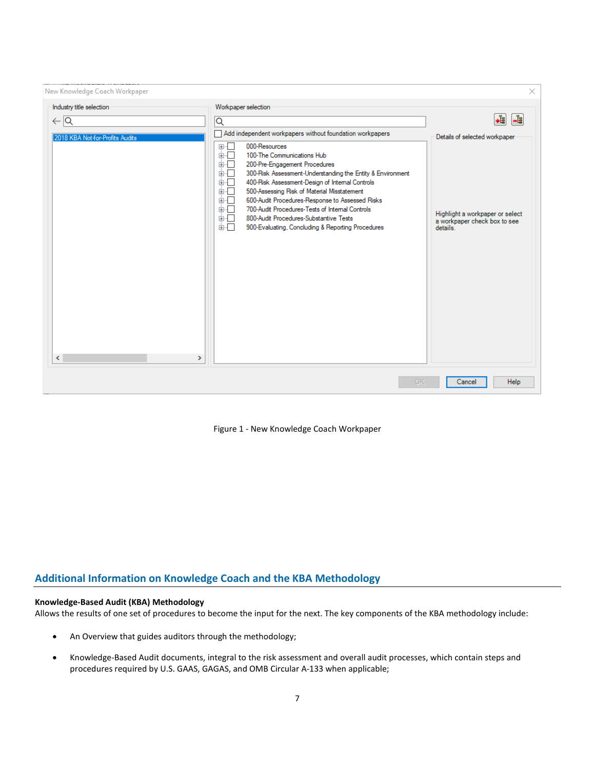| New Knowledge Coach Workpaper                             |                                                                                                                                                                                                                                                                                                                                                                                                                                                                                                                                                                            | ×                                                                                                            |
|-----------------------------------------------------------|----------------------------------------------------------------------------------------------------------------------------------------------------------------------------------------------------------------------------------------------------------------------------------------------------------------------------------------------------------------------------------------------------------------------------------------------------------------------------------------------------------------------------------------------------------------------------|--------------------------------------------------------------------------------------------------------------|
| Industry title selection                                  | Workpaper selection                                                                                                                                                                                                                                                                                                                                                                                                                                                                                                                                                        |                                                                                                              |
| $\leftarrow$ $\alpha$                                     | ∣Q                                                                                                                                                                                                                                                                                                                                                                                                                                                                                                                                                                         | +ŧ<br>-8                                                                                                     |
| 2018 KBA Not-for-Profits Audits<br>$\,<$<br>$\rightarrow$ | Add independent workpapers without foundation workpapers<br>000-Resources<br>⊞…⊡<br>100-The Communications Hub<br>面一<br>200-Pre-Engagement Procedures<br>画「<br>300-Risk Assessment-Understanding the Entity & Environment<br>面示<br>400-Risk Assessment-Design of Internal Controls<br>画画<br>500-Assessing Risk of Material Misstatement<br>面板<br>600-Audit Procedures-Response to Assessed Risks<br>面板<br>700-Audit Procedures-Tests of Internal Controls<br>面一<br>800-Audit Procedures-Substantive Tests<br>面一<br>面口<br>900-Evaluating, Concluding & Reporting Procedures | Details of selected workpaper<br>Highlight a workpaper or select<br>a workpaper check box to see<br>details. |
|                                                           | OK                                                                                                                                                                                                                                                                                                                                                                                                                                                                                                                                                                         | <b>Help</b><br>Cancel                                                                                        |

Figure 1 - New Knowledge Coach Workpaper

# **Additional Information on Knowledge Coach and the KBA Methodology**

# **Knowledge-Based Audit (KBA) Methodology**

Allows the results of one set of procedures to become the input for the next. The key components of the KBA methodology include:

- An Overview that guides auditors through the methodology;
- Knowledge-Based Audit documents, integral to the risk assessment and overall audit processes, which contain steps and procedures required by U.S. GAAS, GAGAS, and OMB Circular A-133 when applicable;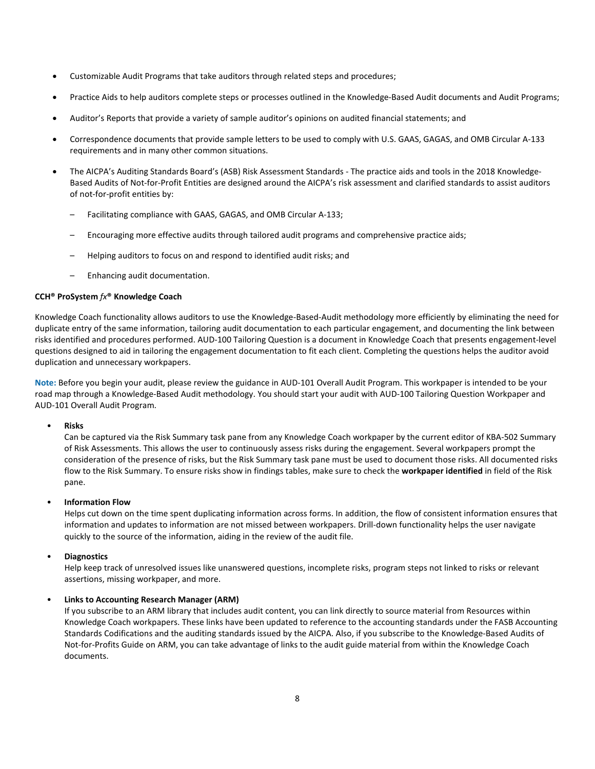- Customizable Audit Programs that take auditors through related steps and procedures;
- Practice Aids to help auditors complete steps or processes outlined in the Knowledge-Based Audit documents and Audit Programs;
- Auditor's Reports that provide a variety of sample auditor's opinions on audited financial statements; and
- Correspondence documents that provide sample letters to be used to comply with U.S. GAAS, GAGAS, and OMB Circular A-133 requirements and in many other common situations.
- The AICPA's Auditing Standards Board's (ASB) Risk Assessment Standards The practice aids and tools in the 2018 Knowledge-Based Audits of Not-for-Profit Entities are designed around the AICPA's risk assessment and clarified standards to assist auditors of not-for-profit entities by:
	- Facilitating compliance with GAAS, GAGAS, and OMB Circular A-133;
	- Encouraging more effective audits through tailored audit programs and comprehensive practice aids;
	- Helping auditors to focus on and respond to identified audit risks; and
	- Enhancing audit documentation.

### **CCH® ProSystem** *fx***® Knowledge Coach**

Knowledge Coach functionality allows auditors to use the Knowledge-Based-Audit methodology more efficiently by eliminating the need for duplicate entry of the same information, tailoring audit documentation to each particular engagement, and documenting the link between risks identified and procedures performed. AUD-100 Tailoring Question is a document in Knowledge Coach that presents engagement-level questions designed to aid in tailoring the engagement documentation to fit each client. Completing the questions helps the auditor avoid duplication and unnecessary workpapers.

**Note:** Before you begin your audit, please review the guidance in AUD-101 Overall Audit Program. This workpaper is intended to be your road map through a Knowledge-Based Audit methodology. You should start your audit with AUD-100 Tailoring Question Workpaper and AUD-101 Overall Audit Program.

### • **Risks**

Can be captured via the Risk Summary task pane from any Knowledge Coach workpaper by the current editor of KBA-502 Summary of Risk Assessments. This allows the user to continuously assess risks during the engagement. Several workpapers prompt the consideration of the presence of risks, but the Risk Summary task pane must be used to document those risks. All documented risks flow to the Risk Summary. To ensure risks show in findings tables, make sure to check the **workpaper identified** in field of the Risk pane.

# • **Information Flow**

Helps cut down on the time spent duplicating information across forms. In addition, the flow of consistent information ensures that information and updates to information are not missed between workpapers. Drill-down functionality helps the user navigate quickly to the source of the information, aiding in the review of the audit file.

# • **Diagnostics**

Help keep track of unresolved issues like unanswered questions, incomplete risks, program steps not linked to risks or relevant assertions, missing workpaper, and more.

# • **Links to Accounting Research Manager (ARM)**

If you subscribe to an ARM library that includes audit content, you can link directly to source material from Resources within Knowledge Coach workpapers. These links have been updated to reference to the accounting standards under the FASB Accounting Standards Codifications and the auditing standards issued by the AICPA. Also, if you subscribe to the Knowledge-Based Audits of Not-for-Profits Guide on ARM, you can take advantage of links to the audit guide material from within the Knowledge Coach documents.